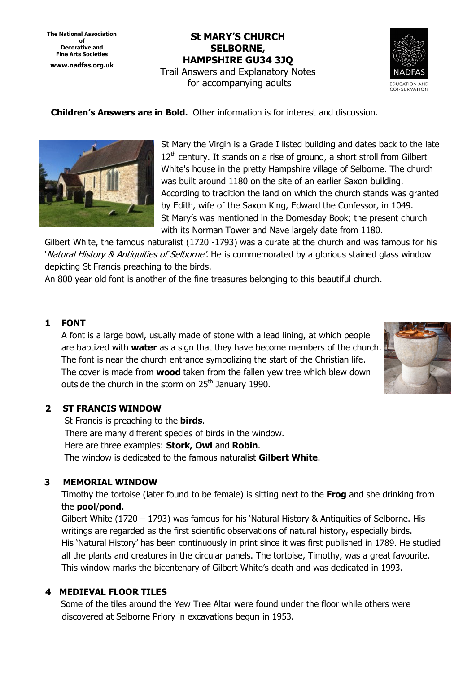**The National Association of Decorative and Fine Arts Societies www.nadfas.org.uk** 

**St MARY'S CHURCH SELBORNE, HAMPSHIRE GU34 3JQ**  Trail Answers and Explanatory Notes for accompanying adults



 **Children's Answers are in Bold.** Other information is for interest and discussion.



St Mary the Virgin is a Grade I listed building and dates back to the late  $12<sup>th</sup>$  century. It stands on a rise of ground, a short stroll from Gilbert White's house in the pretty Hampshire village of Selborne. The church was built around 1180 on the site of an earlier Saxon building. According to tradition the land on which the church stands was granted by Edith, wife of the Saxon King, Edward the Confessor, in 1049. St Mary's was mentioned in the Domesday Book; the present church with its Norman Tower and Nave largely date from 1180.

Gilbert White, the famous naturalist (1720 -1793) was a curate at the church and was famous for his 'Natural History & Antiquities of Selborne'. He is commemorated by a glorious stained glass window depicting St Francis preaching to the birds.

An 800 year old font is another of the fine treasures belonging to this beautiful church.

### **1 FONT**

 A font is a large bowl, usually made of stone with a lead lining, at which people are baptized with **water** as a sign that they have become members of the church. The font is near the church entrance symbolizing the start of the Christian life. The cover is made from **wood** taken from the fallen yew tree which blew down outside the church in the storm on 25<sup>th</sup> January 1990.



### **2 ST FRANCIS WINDOW**

 St Francis is preaching to the **birds**. There are many different species of birds in the window. Here are three examples: **Stork, Owl** and **Robin**. The window is dedicated to the famous naturalist **Gilbert White**.

#### **3 MEMORIAL WINDOW**

 Timothy the tortoise (later found to be female) is sitting next to the **Frog** and she drinking from the **pool**/**pond.**

 Gilbert White (1720 – 1793) was famous for his 'Natural History & Antiquities of Selborne. His writings are regarded as the first scientific observations of natural history, especially birds. His 'Natural History' has been continuously in print since it was first published in 1789. He studied all the plants and creatures in the circular panels. The tortoise, Timothy, was a great favourite. This window marks the bicentenary of Gilbert White's death and was dedicated in 1993.

### **4 MEDIEVAL FLOOR TILES**

Some of the tiles around the Yew Tree Altar were found under the floor while others were discovered at Selborne Priory in excavations begun in 1953.